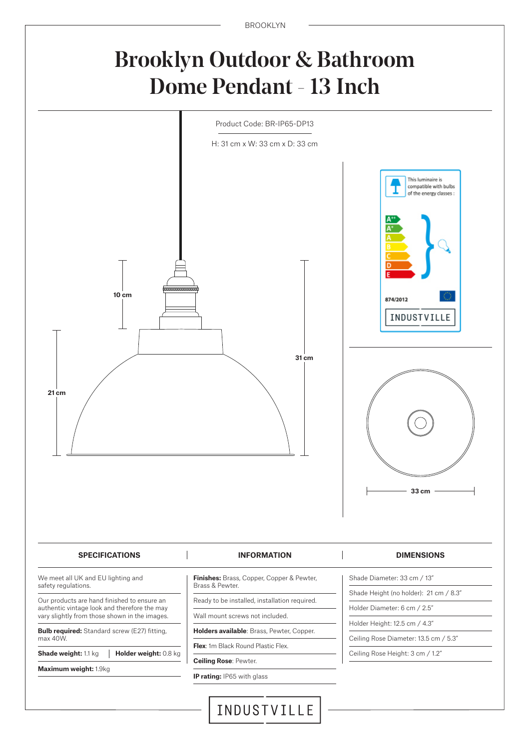BROOKLYN

## Brooklyn Outdoor & Bathroom Dome Pendant - 13 Inch

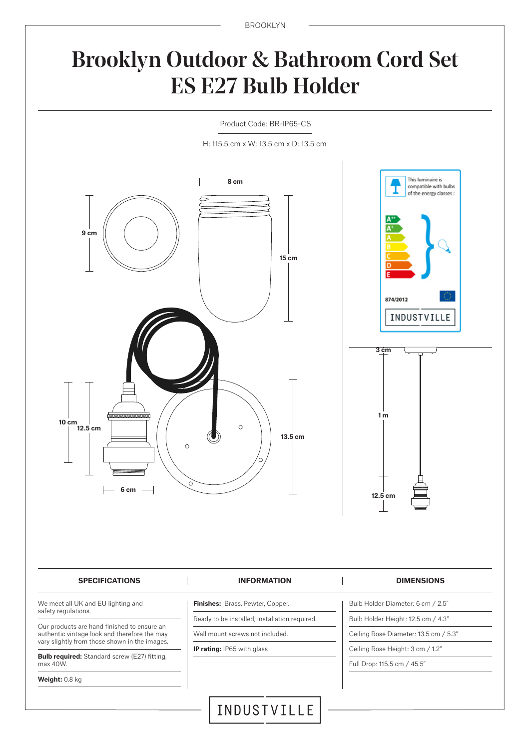BROOKLYN

# Brooklyn Outdoor & Bathroom Cord Set ES E27 Bulb Holder

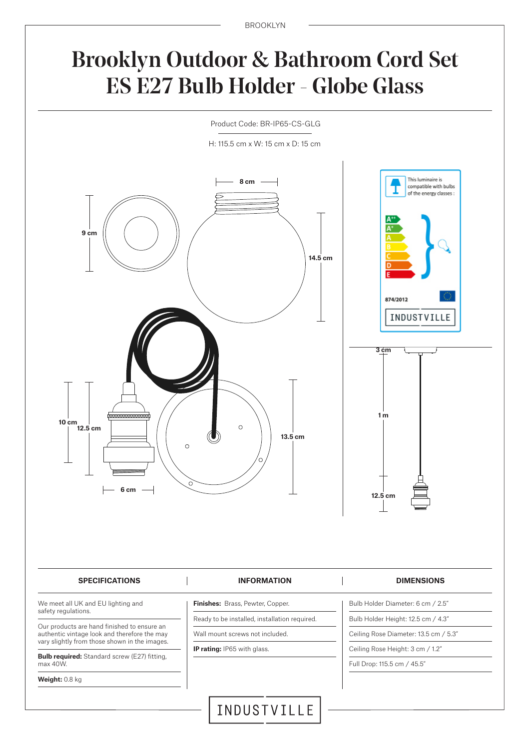#### Brooklyn Outdoor & Bathroom Cord Set ES E27 Bulb Holder - Globe Glass



H: 115.5 cm x W: 15 cm x D: 15 cm

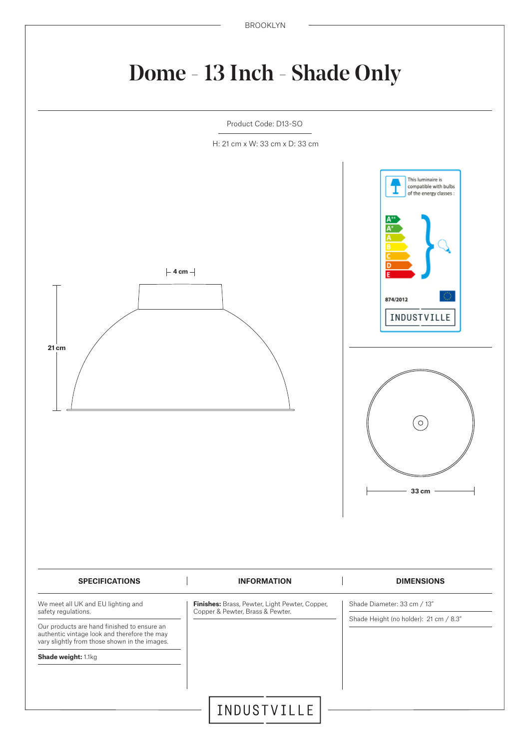# Dome - 13 Inch - Shade Only

Product Code: D13-SO